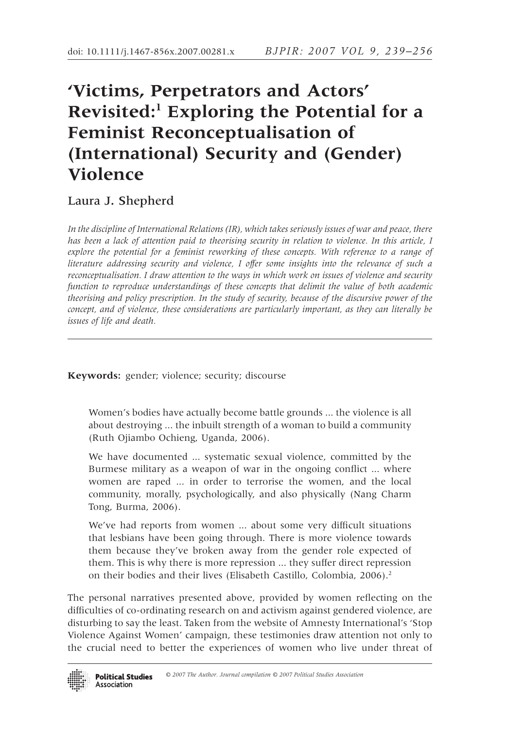# **'Victims, Perpetrators and Actors' Revisited:1 Exploring the Potential for a Feminist Reconceptualisation of (International) Security and (Gender) Violence**

Laura J. Shepherd

*In the discipline of International Relations (IR), which takes seriously issues of war and peace, there has been a lack of attention paid to theorising security in relation to violence. In this article, I explore the potential for a feminist reworking of these concepts. With reference to a range of literature addressing security and violence, I offer some insights into the relevance of such a reconceptualisation. I draw attention to the ways in which work on issues of violence and security function to reproduce understandings of these concepts that delimit the value of both academic theorising and policy prescription. In the study of security, because of the discursive power of the concept, and of violence, these considerations are particularly important, as they can literally be issues of life and death.*

**Keywords:** gender; violence; security; discourse

Women's bodies have actually become battle grounds ... the violence is all about destroying ... the inbuilt strength of a woman to build a community (Ruth Ojiambo Ochieng, Uganda, 2006).

We have documented ... systematic sexual violence, committed by the Burmese military as a weapon of war in the ongoing conflict ... where women are raped ... in order to terrorise the women, and the local community, morally, psychologically, and also physically (Nang Charm Tong, Burma, 2006).

We've had reports from women ... about some very difficult situations that lesbians have been going through. There is more violence towards them because they've broken away from the gender role expected of them. This is why there is more repression ... they suffer direct repression on their bodies and their lives (Elisabeth Castillo, Colombia, 2006).2

The personal narratives presented above, provided by women reflecting on the difficulties of co-ordinating research on and activism against gendered violence, are disturbing to say the least. Taken from the website of Amnesty International's 'Stop Violence Against Women' campaign, these testimonies draw attention not only to the crucial need to better the experiences of women who live under threat of

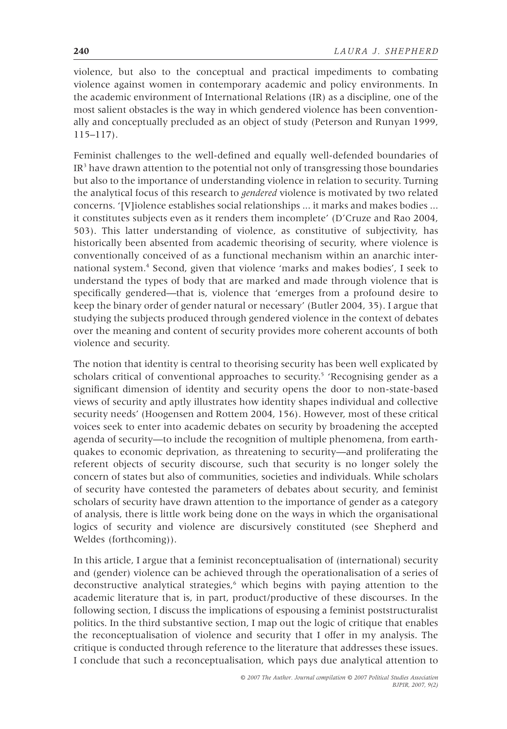violence, but also to the conceptual and practical impediments to combating violence against women in contemporary academic and policy environments. In the academic environment of International Relations (IR) as a discipline, one of the most salient obstacles is the way in which gendered violence has been conventionally and conceptually precluded as an object of study (Peterson and Runyan 1999, 115–117).

Feminist challenges to the well-defined and equally well-defended boundaries of IR3 have drawn attention to the potential not only of transgressing those boundaries but also to the importance of understanding violence in relation to security. Turning the analytical focus of this research to *gendered* violence is motivated by two related concerns. '[V]iolence establishes social relationships ... it marks and makes bodies ... it constitutes subjects even as it renders them incomplete' (D'Cruze and Rao 2004, 503). This latter understanding of violence, as constitutive of subjectivity, has historically been absented from academic theorising of security, where violence is conventionally conceived of as a functional mechanism within an anarchic international system.4 Second, given that violence 'marks and makes bodies', I seek to understand the types of body that are marked and made through violence that is specifically gendered—that is, violence that 'emerges from a profound desire to keep the binary order of gender natural or necessary' (Butler 2004, 35). I argue that studying the subjects produced through gendered violence in the context of debates over the meaning and content of security provides more coherent accounts of both violence and security.

The notion that identity is central to theorising security has been well explicated by scholars critical of conventional approaches to security.<sup>5</sup> 'Recognising gender as a significant dimension of identity and security opens the door to non-state-based views of security and aptly illustrates how identity shapes individual and collective security needs' (Hoogensen and Rottem 2004, 156). However, most of these critical voices seek to enter into academic debates on security by broadening the accepted agenda of security—to include the recognition of multiple phenomena, from earthquakes to economic deprivation, as threatening to security—and proliferating the referent objects of security discourse, such that security is no longer solely the concern of states but also of communities, societies and individuals. While scholars of security have contested the parameters of debates about security, and feminist scholars of security have drawn attention to the importance of gender as a category of analysis, there is little work being done on the ways in which the organisational logics of security and violence are discursively constituted (see Shepherd and Weldes (forthcoming)).

In this article, I argue that a feminist reconceptualisation of (international) security and (gender) violence can be achieved through the operationalisation of a series of deconstructive analytical strategies,<sup>6</sup> which begins with paying attention to the academic literature that is, in part, product/productive of these discourses. In the following section, I discuss the implications of espousing a feminist poststructuralist politics. In the third substantive section, I map out the logic of critique that enables the reconceptualisation of violence and security that I offer in my analysis. The critique is conducted through reference to the literature that addresses these issues. I conclude that such a reconceptualisation, which pays due analytical attention to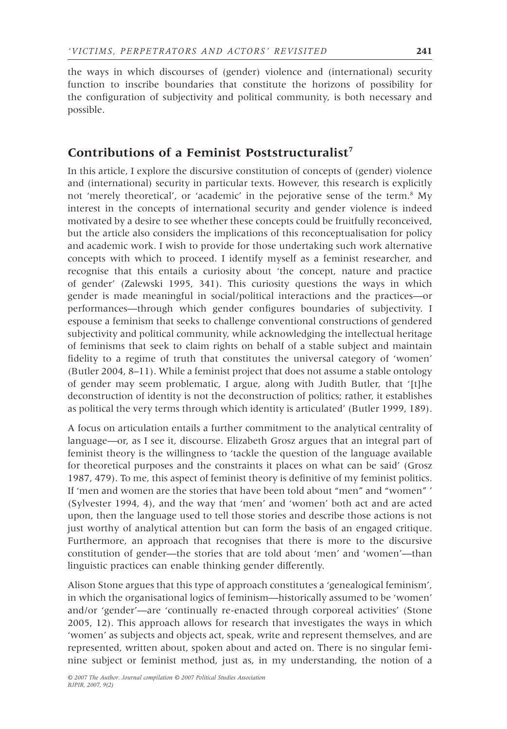the ways in which discourses of (gender) violence and (international) security function to inscribe boundaries that constitute the horizons of possibility for the configuration of subjectivity and political community, is both necessary and possible.

### **Contributions of a Feminist Poststructuralist7**

In this article, I explore the discursive constitution of concepts of (gender) violence and (international) security in particular texts. However, this research is explicitly not 'merely theoretical', or 'academic' in the pejorative sense of the term.<sup>8</sup> My interest in the concepts of international security and gender violence is indeed motivated by a desire to see whether these concepts could be fruitfully reconceived, but the article also considers the implications of this reconceptualisation for policy and academic work. I wish to provide for those undertaking such work alternative concepts with which to proceed. I identify myself as a feminist researcher, and recognise that this entails a curiosity about 'the concept, nature and practice of gender' (Zalewski 1995, 341). This curiosity questions the ways in which gender is made meaningful in social/political interactions and the practices—or performances—through which gender configures boundaries of subjectivity. I espouse a feminism that seeks to challenge conventional constructions of gendered subjectivity and political community, while acknowledging the intellectual heritage of feminisms that seek to claim rights on behalf of a stable subject and maintain fidelity to a regime of truth that constitutes the universal category of 'women' (Butler 2004, 8–11). While a feminist project that does not assume a stable ontology of gender may seem problematic, I argue, along with Judith Butler, that '[t]he deconstruction of identity is not the deconstruction of politics; rather, it establishes as political the very terms through which identity is articulated' (Butler 1999, 189).

A focus on articulation entails a further commitment to the analytical centrality of language—or, as I see it, discourse. Elizabeth Grosz argues that an integral part of feminist theory is the willingness to 'tackle the question of the language available for theoretical purposes and the constraints it places on what can be said' (Grosz 1987, 479). To me, this aspect of feminist theory is definitive of my feminist politics. If 'men and women are the stories that have been told about "men" and "women" ' (Sylvester 1994, 4), and the way that 'men' and 'women' both act and are acted upon, then the language used to tell those stories and describe those actions is not just worthy of analytical attention but can form the basis of an engaged critique. Furthermore, an approach that recognises that there is more to the discursive constitution of gender—the stories that are told about 'men' and 'women'—than linguistic practices can enable thinking gender differently.

Alison Stone argues that this type of approach constitutes a 'genealogical feminism', in which the organisational logics of feminism—historically assumed to be 'women' and/or 'gender'—are 'continually re-enacted through corporeal activities' (Stone 2005, 12). This approach allows for research that investigates the ways in which 'women' as subjects and objects act, speak, write and represent themselves, and are represented, written about, spoken about and acted on. There is no singular feminine subject or feminist method, just as, in my understanding, the notion of a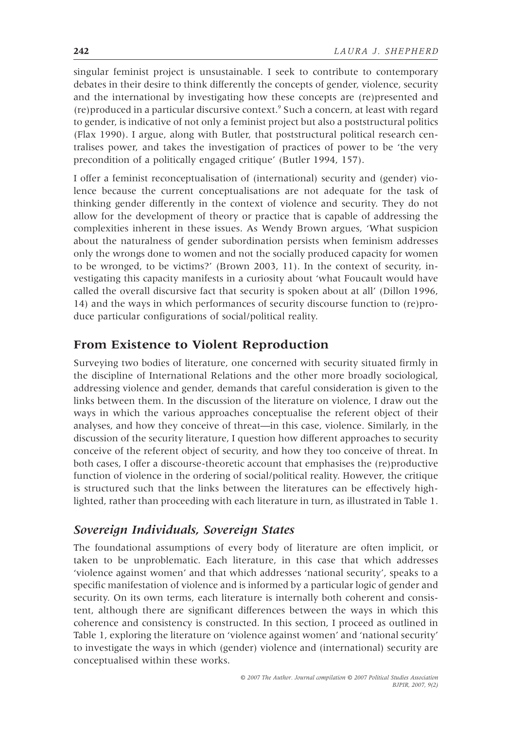singular feminist project is unsustainable. I seek to contribute to contemporary debates in their desire to think differently the concepts of gender, violence, security and the international by investigating how these concepts are (re)presented and (re)produced in a particular discursive context.9 Such a concern, at least with regard to gender, is indicative of not only a feminist project but also a poststructural politics (Flax 1990). I argue, along with Butler, that poststructural political research centralises power, and takes the investigation of practices of power to be 'the very precondition of a politically engaged critique' (Butler 1994, 157).

I offer a feminist reconceptualisation of (international) security and (gender) violence because the current conceptualisations are not adequate for the task of thinking gender differently in the context of violence and security. They do not allow for the development of theory or practice that is capable of addressing the complexities inherent in these issues. As Wendy Brown argues, 'What suspicion about the naturalness of gender subordination persists when feminism addresses only the wrongs done to women and not the socially produced capacity for women to be wronged, to be victims?' (Brown 2003, 11). In the context of security, investigating this capacity manifests in a curiosity about 'what Foucault would have called the overall discursive fact that security is spoken about at all' (Dillon 1996, 14) and the ways in which performances of security discourse function to (re)produce particular configurations of social/political reality.

# **From Existence to Violent Reproduction**

Surveying two bodies of literature, one concerned with security situated firmly in the discipline of International Relations and the other more broadly sociological, addressing violence and gender, demands that careful consideration is given to the links between them. In the discussion of the literature on violence, I draw out the ways in which the various approaches conceptualise the referent object of their analyses, and how they conceive of threat—in this case, violence. Similarly, in the discussion of the security literature, I question how different approaches to security conceive of the referent object of security, and how they too conceive of threat. In both cases, I offer a discourse-theoretic account that emphasises the (re)productive function of violence in the ordering of social/political reality. However, the critique is structured such that the links between the literatures can be effectively highlighted, rather than proceeding with each literature in turn, as illustrated in Table 1.

#### *Sovereign Individuals, Sovereign States*

The foundational assumptions of every body of literature are often implicit, or taken to be unproblematic. Each literature, in this case that which addresses 'violence against women' and that which addresses 'national security', speaks to a specific manifestation of violence and is informed by a particular logic of gender and security. On its own terms, each literature is internally both coherent and consistent, although there are significant differences between the ways in which this coherence and consistency is constructed. In this section, I proceed as outlined in Table 1, exploring the literature on 'violence against women' and 'national security' to investigate the ways in which (gender) violence and (international) security are conceptualised within these works.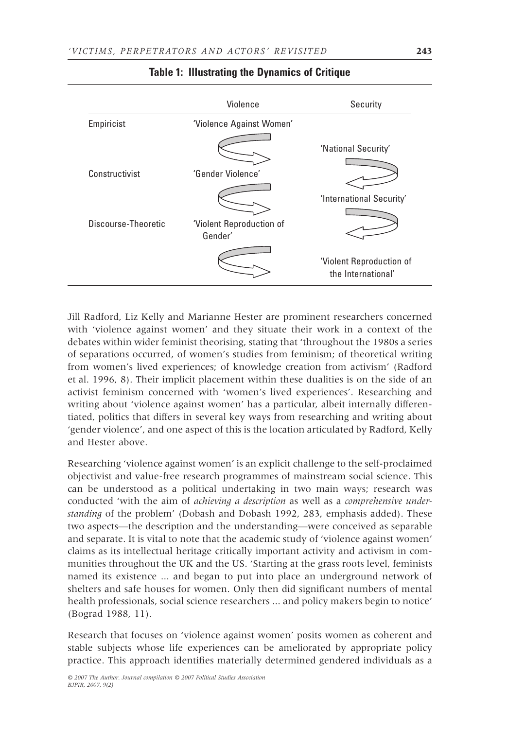

#### **Table 1: Illustrating the Dynamics of Critique**

Jill Radford, Liz Kelly and Marianne Hester are prominent researchers concerned with 'violence against women' and they situate their work in a context of the debates within wider feminist theorising, stating that 'throughout the 1980s a series of separations occurred, of women's studies from feminism; of theoretical writing from women's lived experiences; of knowledge creation from activism' (Radford et al. 1996, 8). Their implicit placement within these dualities is on the side of an activist feminism concerned with 'women's lived experiences'. Researching and writing about 'violence against women' has a particular, albeit internally differentiated, politics that differs in several key ways from researching and writing about 'gender violence', and one aspect of this is the location articulated by Radford, Kelly and Hester above.

Researching 'violence against women' is an explicit challenge to the self-proclaimed objectivist and value-free research programmes of mainstream social science. This can be understood as a political undertaking in two main ways; research was conducted 'with the aim of *achieving a description* as well as a *comprehensive understanding* of the problem' (Dobash and Dobash 1992, 283, emphasis added). These two aspects—the description and the understanding—were conceived as separable and separate. It is vital to note that the academic study of 'violence against women' claims as its intellectual heritage critically important activity and activism in communities throughout the UK and the US. 'Starting at the grass roots level, feminists named its existence ... and began to put into place an underground network of shelters and safe houses for women. Only then did significant numbers of mental health professionals, social science researchers ... and policy makers begin to notice' (Bograd 1988, 11).

Research that focuses on 'violence against women' posits women as coherent and stable subjects whose life experiences can be ameliorated by appropriate policy practice. This approach identifies materially determined gendered individuals as a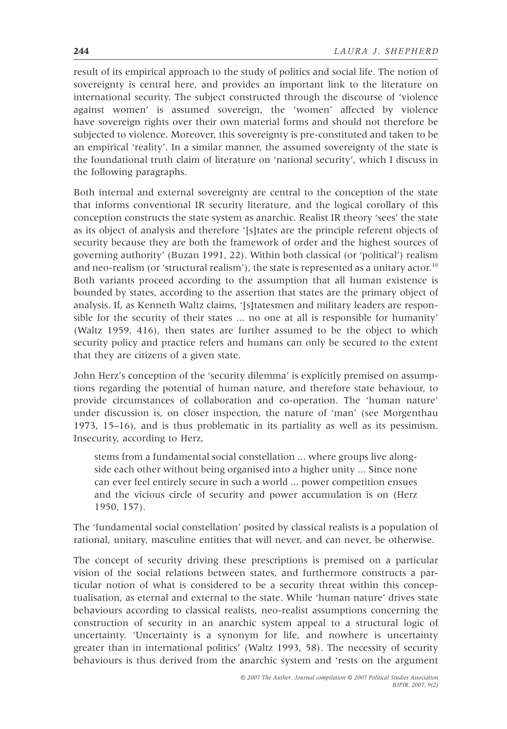result of its empirical approach to the study of politics and social life. The notion of sovereignty is central here, and provides an important link to the literature on international security. The subject constructed through the discourse of 'violence against women' is assumed sovereign, the 'women' affected by violence have sovereign rights over their own material forms and should not therefore be subjected to violence. Moreover, this sovereignty is pre-constituted and taken to be an empirical 'reality'. In a similar manner, the assumed sovereignty of the state is the foundational truth claim of literature on 'national security', which I discuss in the following paragraphs.

Both internal and external sovereignty are central to the conception of the state that informs conventional IR security literature, and the logical corollary of this conception constructs the state system as anarchic. Realist IR theory 'sees' the state as its object of analysis and therefore '[s]tates are the principle referent objects of security because they are both the framework of order and the highest sources of governing authority' (Buzan 1991, 22). Within both classical (or 'political') realism and neo-realism (or 'structural realism'), the state is represented as a unitary actor.<sup>10</sup> Both variants proceed according to the assumption that all human existence is bounded by states, according to the assertion that states are the primary object of analysis. If, as Kenneth Waltz claims, '[s]tatesmen and military leaders are responsible for the security of their states ... no one at all is responsible for humanity' (Waltz 1959, 416), then states are further assumed to be the object to which security policy and practice refers and humans can only be secured to the extent that they are citizens of a given state.

John Herz's conception of the 'security dilemma' is explicitly premised on assumptions regarding the potential of human nature, and therefore state behaviour, to provide circumstances of collaboration and co-operation. The 'human nature' under discussion is, on closer inspection, the nature of 'man' (see Morgenthau 1973, 15–16), and is thus problematic in its partiality as well as its pessimism. Insecurity, according to Herz,

stems from a fundamental social constellation ... where groups live alongside each other without being organised into a higher unity ... Since none can ever feel entirely secure in such a world ... power competition ensues and the vicious circle of security and power accumulation is on (Herz 1950, 157).

The 'fundamental social constellation' posited by classical realists is a population of rational, unitary, masculine entities that will never, and can never, be otherwise.

The concept of security driving these prescriptions is premised on a particular vision of the social relations between states, and furthermore constructs a particular notion of what is considered to be a security threat within this conceptualisation, as eternal and external to the state. While 'human nature' drives state behaviours according to classical realists, neo-realist assumptions concerning the construction of security in an anarchic system appeal to a structural logic of uncertainty. 'Uncertainty is a synonym for life, and nowhere is uncertainty greater than in international politics' (Waltz 1993, 58). The necessity of security behaviours is thus derived from the anarchic system and 'rests on the argument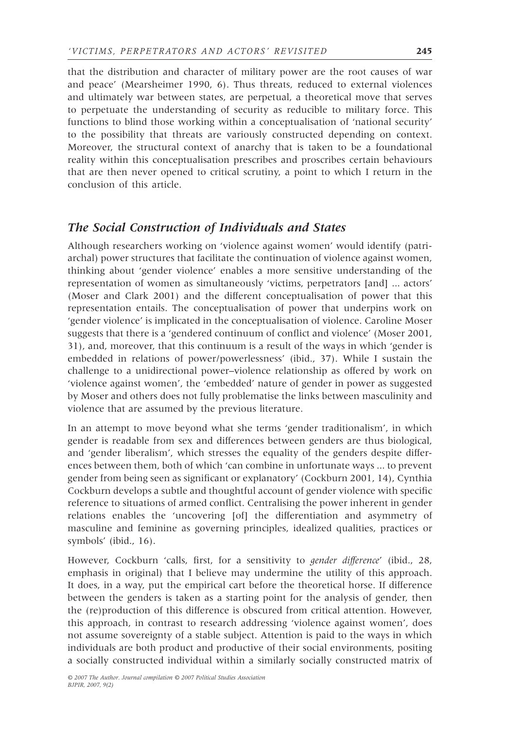that the distribution and character of military power are the root causes of war and peace' (Mearsheimer 1990, 6). Thus threats, reduced to external violences and ultimately war between states, are perpetual, a theoretical move that serves to perpetuate the understanding of security as reducible to military force. This functions to blind those working within a conceptualisation of 'national security' to the possibility that threats are variously constructed depending on context. Moreover, the structural context of anarchy that is taken to be a foundational reality within this conceptualisation prescribes and proscribes certain behaviours that are then never opened to critical scrutiny, a point to which I return in the conclusion of this article.

# *The Social Construction of Individuals and States*

Although researchers working on 'violence against women' would identify (patriarchal) power structures that facilitate the continuation of violence against women, thinking about 'gender violence' enables a more sensitive understanding of the representation of women as simultaneously 'victims, perpetrators [and] ... actors' (Moser and Clark 2001) and the different conceptualisation of power that this representation entails. The conceptualisation of power that underpins work on 'gender violence' is implicated in the conceptualisation of violence. Caroline Moser suggests that there is a 'gendered continuum of conflict and violence' (Moser 2001, 31), and, moreover, that this continuum is a result of the ways in which 'gender is embedded in relations of power/powerlessness' (ibid., 37). While I sustain the challenge to a unidirectional power–violence relationship as offered by work on 'violence against women', the 'embedded' nature of gender in power as suggested by Moser and others does not fully problematise the links between masculinity and violence that are assumed by the previous literature.

In an attempt to move beyond what she terms 'gender traditionalism', in which gender is readable from sex and differences between genders are thus biological, and 'gender liberalism', which stresses the equality of the genders despite differences between them, both of which 'can combine in unfortunate ways ... to prevent gender from being seen as significant or explanatory' (Cockburn 2001, 14), Cynthia Cockburn develops a subtle and thoughtful account of gender violence with specific reference to situations of armed conflict. Centralising the power inherent in gender relations enables the 'uncovering [of] the differentiation and asymmetry of masculine and feminine as governing principles, idealized qualities, practices or symbols' (ibid., 16).

However, Cockburn 'calls, first, for a sensitivity to *gender difference*' (ibid., 28, emphasis in original) that I believe may undermine the utility of this approach. It does, in a way, put the empirical cart before the theoretical horse. If difference between the genders is taken as a starting point for the analysis of gender, then the (re)production of this difference is obscured from critical attention. However, this approach, in contrast to research addressing 'violence against women', does not assume sovereignty of a stable subject. Attention is paid to the ways in which individuals are both product and productive of their social environments, positing a socially constructed individual within a similarly socially constructed matrix of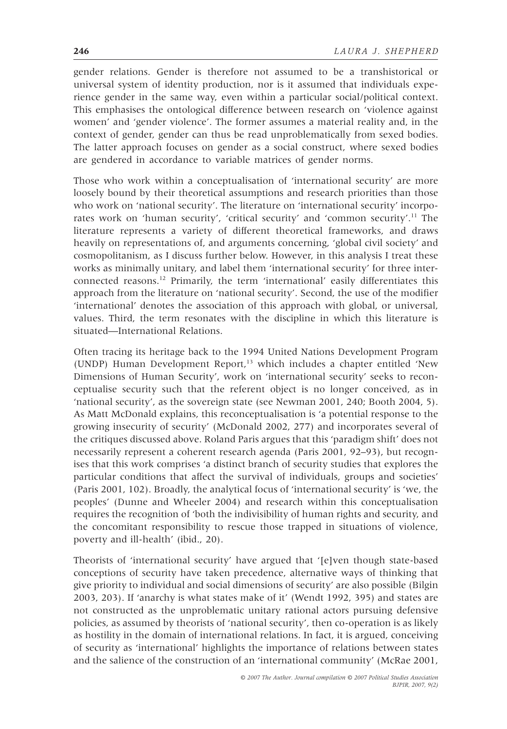gender relations. Gender is therefore not assumed to be a transhistorical or universal system of identity production, nor is it assumed that individuals experience gender in the same way, even within a particular social/political context. This emphasises the ontological difference between research on 'violence against women' and 'gender violence'. The former assumes a material reality and, in the context of gender, gender can thus be read unproblematically from sexed bodies. The latter approach focuses on gender as a social construct, where sexed bodies are gendered in accordance to variable matrices of gender norms.

Those who work within a conceptualisation of 'international security' are more loosely bound by their theoretical assumptions and research priorities than those who work on 'national security'. The literature on 'international security' incorporates work on 'human security', 'critical security' and 'common security'.11 The literature represents a variety of different theoretical frameworks, and draws heavily on representations of, and arguments concerning, 'global civil society' and cosmopolitanism, as I discuss further below. However, in this analysis I treat these works as minimally unitary, and label them 'international security' for three interconnected reasons.12 Primarily, the term 'international' easily differentiates this approach from the literature on 'national security'. Second, the use of the modifier 'international' denotes the association of this approach with global, or universal, values. Third, the term resonates with the discipline in which this literature is situated—International Relations.

Often tracing its heritage back to the 1994 United Nations Development Program (UNDP) Human Development Report,<sup>13</sup> which includes a chapter entitled 'New Dimensions of Human Security', work on 'international security' seeks to reconceptualise security such that the referent object is no longer conceived, as in 'national security', as the sovereign state (see Newman 2001, 240; Booth 2004, 5). As Matt McDonald explains, this reconceptualisation is 'a potential response to the growing insecurity of security' (McDonald 2002, 277) and incorporates several of the critiques discussed above. Roland Paris argues that this 'paradigm shift' does not necessarily represent a coherent research agenda (Paris 2001, 92–93), but recognises that this work comprises 'a distinct branch of security studies that explores the particular conditions that affect the survival of individuals, groups and societies' (Paris 2001, 102). Broadly, the analytical focus of 'international security' is 'we, the peoples' (Dunne and Wheeler 2004) and research within this conceptualisation requires the recognition of 'both the indivisibility of human rights and security, and the concomitant responsibility to rescue those trapped in situations of violence, poverty and ill-health' (ibid., 20).

Theorists of 'international security' have argued that '[e]ven though state-based conceptions of security have taken precedence, alternative ways of thinking that give priority to individual and social dimensions of security' are also possible (Bilgin 2003, 203). If 'anarchy is what states make of it' (Wendt 1992, 395) and states are not constructed as the unproblematic unitary rational actors pursuing defensive policies, as assumed by theorists of 'national security', then co-operation is as likely as hostility in the domain of international relations. In fact, it is argued, conceiving of security as 'international' highlights the importance of relations between states and the salience of the construction of an 'international community' (McRae 2001,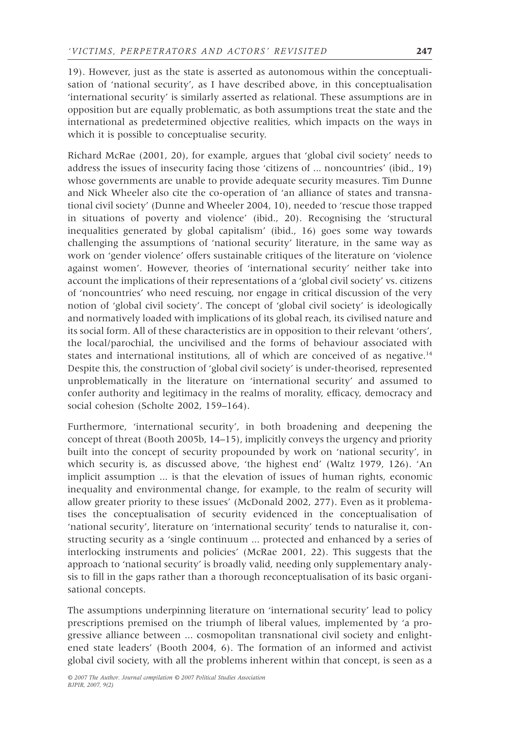19). However, just as the state is asserted as autonomous within the conceptualisation of 'national security', as I have described above, in this conceptualisation 'international security' is similarly asserted as relational. These assumptions are in opposition but are equally problematic, as both assumptions treat the state and the international as predetermined objective realities, which impacts on the ways in which it is possible to conceptualise security.

Richard McRae (2001, 20), for example, argues that 'global civil society' needs to address the issues of insecurity facing those 'citizens of ... noncountries' (ibid., 19) whose governments are unable to provide adequate security measures. Tim Dunne and Nick Wheeler also cite the co-operation of 'an alliance of states and transnational civil society' (Dunne and Wheeler 2004, 10), needed to 'rescue those trapped in situations of poverty and violence' (ibid., 20). Recognising the 'structural inequalities generated by global capitalism' (ibid., 16) goes some way towards challenging the assumptions of 'national security' literature, in the same way as work on 'gender violence' offers sustainable critiques of the literature on 'violence against women'. However, theories of 'international security' neither take into account the implications of their representations of a 'global civil society' vs. citizens of 'noncountries' who need rescuing, nor engage in critical discussion of the very notion of 'global civil society'. The concept of 'global civil society' is ideologically and normatively loaded with implications of its global reach, its civilised nature and its social form. All of these characteristics are in opposition to their relevant 'others', the local/parochial, the uncivilised and the forms of behaviour associated with states and international institutions, all of which are conceived of as negative.<sup>14</sup> Despite this, the construction of 'global civil society' is under-theorised, represented unproblematically in the literature on 'international security' and assumed to confer authority and legitimacy in the realms of morality, efficacy, democracy and social cohesion (Scholte 2002, 159–164).

Furthermore, 'international security', in both broadening and deepening the concept of threat (Booth 2005b, 14–15), implicitly conveys the urgency and priority built into the concept of security propounded by work on 'national security', in which security is, as discussed above, 'the highest end' (Waltz 1979, 126). 'An implicit assumption ... is that the elevation of issues of human rights, economic inequality and environmental change, for example, to the realm of security will allow greater priority to these issues' (McDonald 2002, 277). Even as it problematises the conceptualisation of security evidenced in the conceptualisation of 'national security', literature on 'international security' tends to naturalise it, constructing security as a 'single continuum ... protected and enhanced by a series of interlocking instruments and policies' (McRae 2001, 22). This suggests that the approach to 'national security' is broadly valid, needing only supplementary analysis to fill in the gaps rather than a thorough reconceptualisation of its basic organisational concepts.

The assumptions underpinning literature on 'international security' lead to policy prescriptions premised on the triumph of liberal values, implemented by 'a progressive alliance between ... cosmopolitan transnational civil society and enlightened state leaders' (Booth 2004, 6). The formation of an informed and activist global civil society, with all the problems inherent within that concept, is seen as a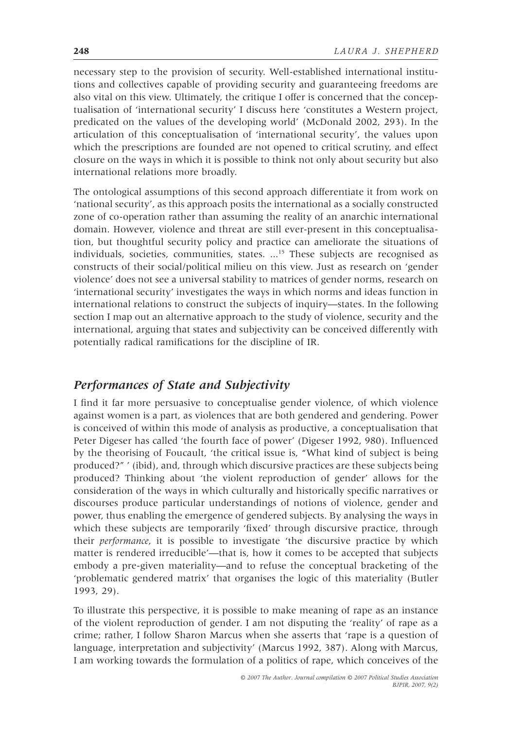necessary step to the provision of security. Well-established international institutions and collectives capable of providing security and guaranteeing freedoms are also vital on this view. Ultimately, the critique I offer is concerned that the conceptualisation of 'international security' I discuss here 'constitutes a Western project, predicated on the values of the developing world' (McDonald 2002, 293). In the articulation of this conceptualisation of 'international security', the values upon which the prescriptions are founded are not opened to critical scrutiny, and effect closure on the ways in which it is possible to think not only about security but also international relations more broadly.

The ontological assumptions of this second approach differentiate it from work on 'national security', as this approach posits the international as a socially constructed zone of co-operation rather than assuming the reality of an anarchic international domain. However, violence and threat are still ever-present in this conceptualisation, but thoughtful security policy and practice can ameliorate the situations of individuals, societies, communities, states. ...<sup>15</sup> These subjects are recognised as constructs of their social/political milieu on this view. Just as research on 'gender violence' does not see a universal stability to matrices of gender norms, research on 'international security' investigates the ways in which norms and ideas function in international relations to construct the subjects of inquiry—states. In the following section I map out an alternative approach to the study of violence, security and the international, arguing that states and subjectivity can be conceived differently with potentially radical ramifications for the discipline of IR.

# *Performances of State and Subjectivity*

I find it far more persuasive to conceptualise gender violence, of which violence against women is a part, as violences that are both gendered and gendering. Power is conceived of within this mode of analysis as productive, a conceptualisation that Peter Digeser has called 'the fourth face of power' (Digeser 1992, 980). Influenced by the theorising of Foucault, 'the critical issue is, "What kind of subject is being produced?" ' (ibid), and, through which discursive practices are these subjects being produced? Thinking about 'the violent reproduction of gender' allows for the consideration of the ways in which culturally and historically specific narratives or discourses produce particular understandings of notions of violence, gender and power, thus enabling the emergence of gendered subjects. By analysing the ways in which these subjects are temporarily 'fixed' through discursive practice, through their *performance*, it is possible to investigate 'the discursive practice by which matter is rendered irreducible'—that is, how it comes to be accepted that subjects embody a pre-given materiality—and to refuse the conceptual bracketing of the 'problematic gendered matrix' that organises the logic of this materiality (Butler 1993, 29).

To illustrate this perspective, it is possible to make meaning of rape as an instance of the violent reproduction of gender. I am not disputing the 'reality' of rape as a crime; rather, I follow Sharon Marcus when she asserts that 'rape is a question of language, interpretation and subjectivity' (Marcus 1992, 387). Along with Marcus, I am working towards the formulation of a politics of rape, which conceives of the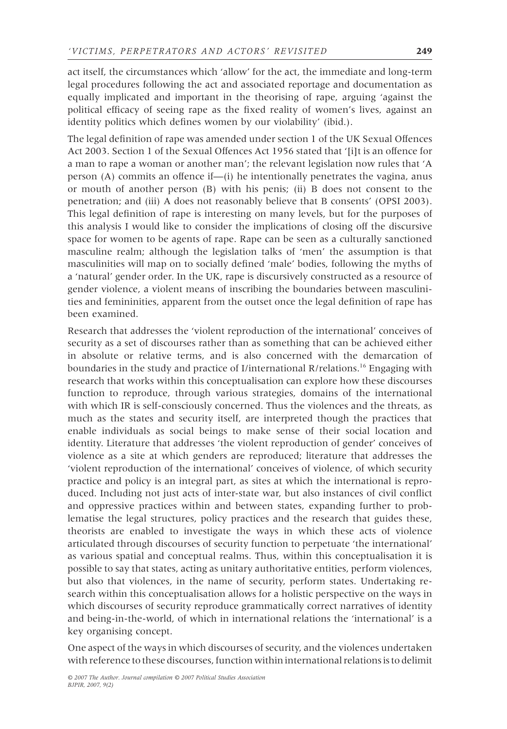act itself, the circumstances which 'allow' for the act, the immediate and long-term legal procedures following the act and associated reportage and documentation as equally implicated and important in the theorising of rape, arguing 'against the political efficacy of seeing rape as the fixed reality of women's lives, against an identity politics which defines women by our violability' (ibid.).

The legal definition of rape was amended under section 1 of the UK Sexual Offences Act 2003. Section 1 of the Sexual Offences Act 1956 stated that '[i]t is an offence for a man to rape a woman or another man'; the relevant legislation now rules that 'A person (A) commits an offence if—(i) he intentionally penetrates the vagina, anus or mouth of another person (B) with his penis; (ii) B does not consent to the penetration; and (iii) A does not reasonably believe that B consents' (OPSI 2003). This legal definition of rape is interesting on many levels, but for the purposes of this analysis I would like to consider the implications of closing off the discursive space for women to be agents of rape. Rape can be seen as a culturally sanctioned masculine realm; although the legislation talks of 'men' the assumption is that masculinities will map on to socially defined 'male' bodies, following the myths of a 'natural' gender order. In the UK, rape is discursively constructed as a resource of gender violence, a violent means of inscribing the boundaries between masculinities and femininities, apparent from the outset once the legal definition of rape has been examined.

Research that addresses the 'violent reproduction of the international' conceives of security as a set of discourses rather than as something that can be achieved either in absolute or relative terms, and is also concerned with the demarcation of boundaries in the study and practice of I/international R/relations.<sup>16</sup> Engaging with research that works within this conceptualisation can explore how these discourses function to reproduce, through various strategies, domains of the international with which IR is self-consciously concerned. Thus the violences and the threats, as much as the states and security itself, are interpreted though the practices that enable individuals as social beings to make sense of their social location and identity. Literature that addresses 'the violent reproduction of gender' conceives of violence as a site at which genders are reproduced; literature that addresses the 'violent reproduction of the international' conceives of violence, of which security practice and policy is an integral part, as sites at which the international is reproduced. Including not just acts of inter-state war, but also instances of civil conflict and oppressive practices within and between states, expanding further to problematise the legal structures, policy practices and the research that guides these, theorists are enabled to investigate the ways in which these acts of violence articulated through discourses of security function to perpetuate 'the international' as various spatial and conceptual realms. Thus, within this conceptualisation it is possible to say that states, acting as unitary authoritative entities, perform violences, but also that violences, in the name of security, perform states. Undertaking research within this conceptualisation allows for a holistic perspective on the ways in which discourses of security reproduce grammatically correct narratives of identity and being-in-the-world, of which in international relations the 'international' is a key organising concept.

One aspect of the ways in which discourses of security, and the violences undertaken with reference to these discourses, function within international relations is to delimit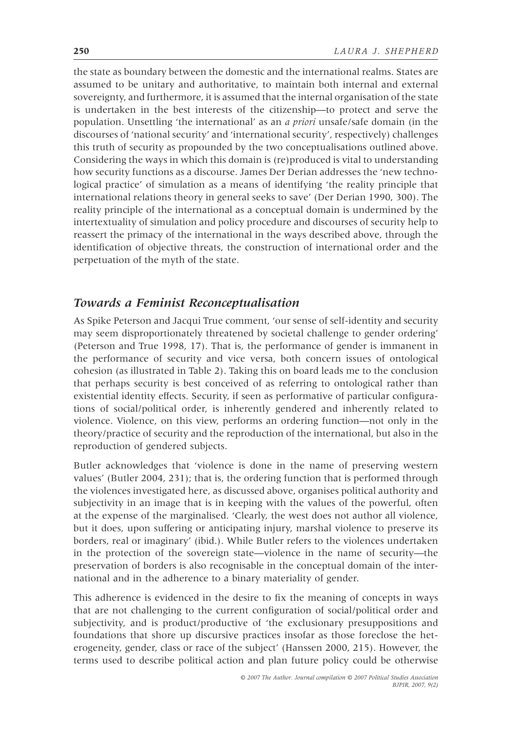the state as boundary between the domestic and the international realms. States are assumed to be unitary and authoritative, to maintain both internal and external sovereignty, and furthermore, it is assumed that the internal organisation of the state is undertaken in the best interests of the citizenship—to protect and serve the population. Unsettling 'the international' as an *a priori* unsafe/safe domain (in the discourses of 'national security' and 'international security', respectively) challenges this truth of security as propounded by the two conceptualisations outlined above. Considering the ways in which this domain is (re)produced is vital to understanding how security functions as a discourse. James Der Derian addresses the 'new technological practice' of simulation as a means of identifying 'the reality principle that international relations theory in general seeks to save' (Der Derian 1990, 300). The reality principle of the international as a conceptual domain is undermined by the intertextuality of simulation and policy procedure and discourses of security help to reassert the primacy of the international in the ways described above, through the identification of objective threats, the construction of international order and the perpetuation of the myth of the state.

## *Towards a Feminist Reconceptualisation*

As Spike Peterson and Jacqui True comment, 'our sense of self-identity and security may seem disproportionately threatened by societal challenge to gender ordering' (Peterson and True 1998, 17). That is, the performance of gender is immanent in the performance of security and vice versa, both concern issues of ontological cohesion (as illustrated in Table 2). Taking this on board leads me to the conclusion that perhaps security is best conceived of as referring to ontological rather than existential identity effects. Security, if seen as performative of particular configurations of social/political order, is inherently gendered and inherently related to violence. Violence, on this view, performs an ordering function—not only in the theory/practice of security and the reproduction of the international, but also in the reproduction of gendered subjects.

Butler acknowledges that 'violence is done in the name of preserving western values' (Butler 2004, 231); that is, the ordering function that is performed through the violences investigated here, as discussed above, organises political authority and subjectivity in an image that is in keeping with the values of the powerful, often at the expense of the marginalised. 'Clearly, the west does not author all violence, but it does, upon suffering or anticipating injury, marshal violence to preserve its borders, real or imaginary' (ibid.). While Butler refers to the violences undertaken in the protection of the sovereign state—violence in the name of security—the preservation of borders is also recognisable in the conceptual domain of the international and in the adherence to a binary materiality of gender.

This adherence is evidenced in the desire to fix the meaning of concepts in ways that are not challenging to the current configuration of social/political order and subjectivity, and is product/productive of 'the exclusionary presuppositions and foundations that shore up discursive practices insofar as those foreclose the heterogeneity, gender, class or race of the subject' (Hanssen 2000, 215). However, the terms used to describe political action and plan future policy could be otherwise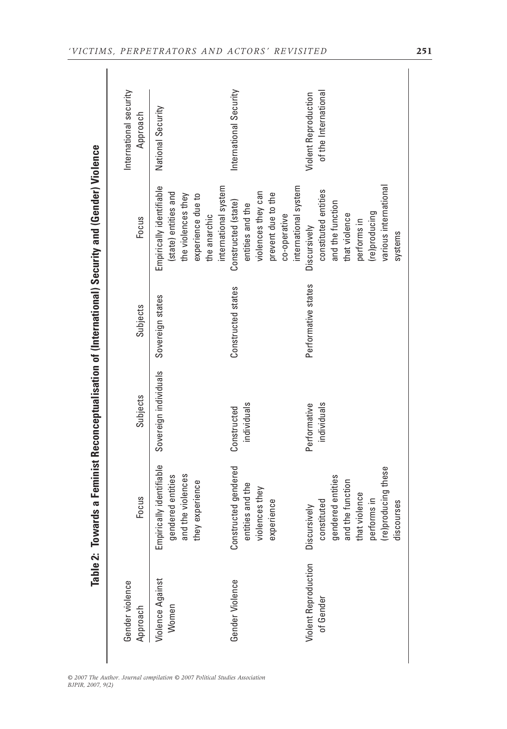| Gender violence<br>Approach              | Focus                                                                                                                                     | Subjects                    | Subjects            | Focus                                                                                                                                         | International security<br>Approach                  |
|------------------------------------------|-------------------------------------------------------------------------------------------------------------------------------------------|-----------------------------|---------------------|-----------------------------------------------------------------------------------------------------------------------------------------------|-----------------------------------------------------|
| Violence Against<br>Women                | Empirically identifiable<br>gendered entities<br>and the violences<br>they experience                                                     | Sovereign individuals       | Sovereign states    | Empirically identifiable<br>international system<br>(state) entities and<br>the violences they<br>experience due to<br>the anarchic           | National Security                                   |
| Gender Violence                          | Constructed gendered<br>entities and the<br>violences they<br>experience                                                                  | individuals<br>Constructed  | Constructed states  | international system<br>violences they can<br>prevent due to the<br>Constructed (state)<br>entities and the<br>co-operative                   | International Security                              |
| <b>Violent Reproduction</b><br>of Gender | performs in<br>(re)producing these<br>gendered entities<br>and the function<br>that violence<br>constituted<br>discourses<br>Discursively | individuals<br>Performative | Performative states | various international<br>constituted entities<br>and the function<br>(re)producing<br>that violence<br>performs in<br>Discursively<br>systems | of the International<br><b>Violent Reproduction</b> |

Table 2: Towards a Feminist Reconceptualisation of (International) Security and (Gender) Violence Table 2: Towards a Feminist Reconceptualisation of (International) Security and (Gender) Violence

*© 2007 The Author. Journal compilation © 2007 Political Studies Association BJPIR, 2007, 9(2)*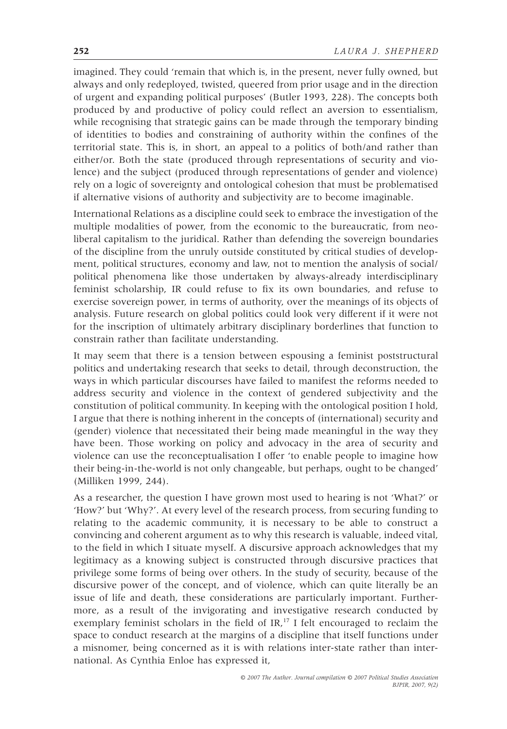imagined. They could 'remain that which is, in the present, never fully owned, but always and only redeployed, twisted, queered from prior usage and in the direction of urgent and expanding political purposes' (Butler 1993, 228). The concepts both produced by and productive of policy could reflect an aversion to essentialism, while recognising that strategic gains can be made through the temporary binding of identities to bodies and constraining of authority within the confines of the territorial state. This is, in short, an appeal to a politics of both/and rather than either/or. Both the state (produced through representations of security and violence) and the subject (produced through representations of gender and violence) rely on a logic of sovereignty and ontological cohesion that must be problematised if alternative visions of authority and subjectivity are to become imaginable.

International Relations as a discipline could seek to embrace the investigation of the multiple modalities of power, from the economic to the bureaucratic, from neoliberal capitalism to the juridical. Rather than defending the sovereign boundaries of the discipline from the unruly outside constituted by critical studies of development, political structures, economy and law, not to mention the analysis of social/ political phenomena like those undertaken by always-already interdisciplinary feminist scholarship, IR could refuse to fix its own boundaries, and refuse to exercise sovereign power, in terms of authority, over the meanings of its objects of analysis. Future research on global politics could look very different if it were not for the inscription of ultimately arbitrary disciplinary borderlines that function to constrain rather than facilitate understanding.

It may seem that there is a tension between espousing a feminist poststructural politics and undertaking research that seeks to detail, through deconstruction, the ways in which particular discourses have failed to manifest the reforms needed to address security and violence in the context of gendered subjectivity and the constitution of political community. In keeping with the ontological position I hold, I argue that there is nothing inherent in the concepts of (international) security and (gender) violence that necessitated their being made meaningful in the way they have been. Those working on policy and advocacy in the area of security and violence can use the reconceptualisation I offer 'to enable people to imagine how their being-in-the-world is not only changeable, but perhaps, ought to be changed' (Milliken 1999, 244).

As a researcher, the question I have grown most used to hearing is not 'What?' or 'How?' but 'Why?'. At every level of the research process, from securing funding to relating to the academic community, it is necessary to be able to construct a convincing and coherent argument as to why this research is valuable, indeed vital, to the field in which I situate myself. A discursive approach acknowledges that my legitimacy as a knowing subject is constructed through discursive practices that privilege some forms of being over others. In the study of security, because of the discursive power of the concept, and of violence, which can quite literally be an issue of life and death, these considerations are particularly important. Furthermore, as a result of the invigorating and investigative research conducted by exemplary feminist scholars in the field of IR,<sup>17</sup> I felt encouraged to reclaim the space to conduct research at the margins of a discipline that itself functions under a misnomer, being concerned as it is with relations inter-state rather than international. As Cynthia Enloe has expressed it,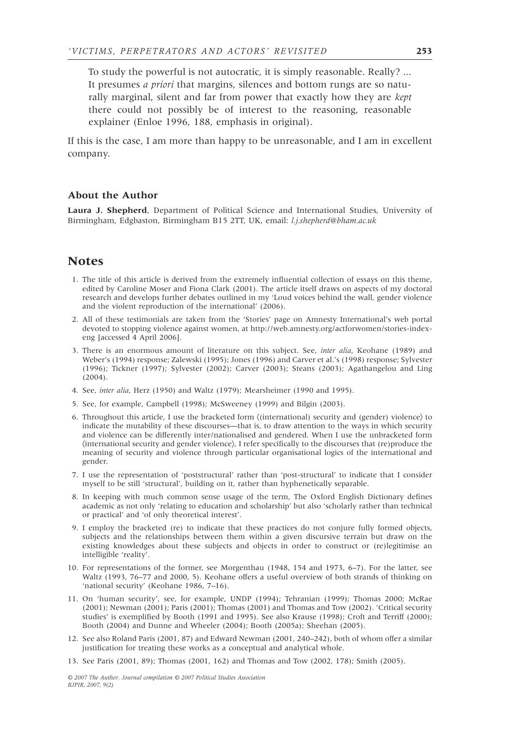To study the powerful is not autocratic, it is simply reasonable. Really? ... It presumes *a priori* that margins, silences and bottom rungs are so naturally marginal, silent and far from power that exactly how they are *kept* there could not possibly be of interest to the reasoning, reasonable explainer (Enloe 1996, 188, emphasis in original).

If this is the case, I am more than happy to be unreasonable, and I am in excellent company.

#### **About the Author**

**Laura J. Shepherd**, Department of Political Science and International Studies, University of Birmingham, Edgbaston, Birmingham B15 2TT, UK, email: *l.j.[shepherd@bham.ac.uk](mailto:shepherd@bham.ac.uk)*

#### **Notes**

- 1. The title of this article is derived from the extremely influential collection of essays on this theme, edited by Caroline Moser and Fiona Clark (2001). The article itself draws on aspects of my doctoral research and develops further debates outlined in my 'Loud voices behind the wall, gender violence and the violent reproduction of the international'  $(2006)$ .
- 2. All of these testimonials are taken from the 'Stories' page on Amnesty International's web portal [devoted to stopping violence against women, at http://web.amnesty.org/actforwomen/stories-index](http://web.amnesty.org/actforwomen/stories-index-eng)eng [\[](http://web.amnesty.org/actforwomen/stories-index-eng)accessed 4 April 2006].
- 3. There is an enormous amount of literature on this subject. See, *inter alia*, Keohane (1989) and Weber's (1994) response; Zalewski (1995); Jones (1996) and Carver et al.'s (1998) response; Sylvester (1996); Tickner (1997); Sylvester (2002); Carver (2003); Steans (2003); Agathangelou and Ling (2004).
- 4. See, *inter alia*, Herz (1950) and Waltz (1979); Mearsheimer (1990 and 1995).
- 5. See, for example, Campbell (1998); McSweeney (1999) and Bilgin (2003).
- 6. Throughout this article, I use the bracketed form 〈(international) security and (gender) violence〉 to indicate the mutability of these discourses—that is, to draw attention to the ways in which security and violence can be differently inter/nationalised and gendered. When I use the unbracketed form 〈international security and gender violence〉, I refer specifically to the discourses that (re)produce the meaning of security and violence through particular organisational logics of the international and gender.
- 7. I use the representation of 'poststructural' rather than 'post-structural' to indicate that I consider myself to be still 'structural', building on it, rather than hyphenetically separable.
- 8. In keeping with much common sense usage of the term, The Oxford English Dictionary defines academic as not only 'relating to education and scholarship' but also 'scholarly rather than technical or practical' and 'of only theoretical interest'.
- 9. I employ the bracketed (re) to indicate that these practices do not conjure fully formed objects, subjects and the relationships between them within a given discursive terrain but draw on the existing knowledges about these subjects and objects in order to construct or (re)legitimise an intelligible 'reality'.
- 10. For representations of the former, see Morgenthau (1948, 154 and 1973, 6–7). For the latter, see Waltz (1993, 76–77 and 2000, 5). Keohane offers a useful overview of both strands of thinking on 'national security' (Keohane 1986, 7–16).
- 11. On 'human security', see, for example, UNDP (1994); Tehranian (1999); Thomas 2000; McRae (2001); Newman (2001); Paris (2001); Thomas (2001) and Thomas and Tow (2002). 'Critical security studies' is exemplified by Booth (1991 and 1995). See also Krause (1998); Croft and Terriff (2000); Booth (2004) and Dunne and Wheeler (2004); Booth (2005a); Sheehan (2005).
- 12. See also Roland Paris (2001, 87) and Edward Newman (2001, 240–242), both of whom offer a similar justification for treating these works as a conceptual and analytical whole.
- 13. See Paris (2001, 89); Thomas (2001, 162) and Thomas and Tow (2002, 178); Smith (2005).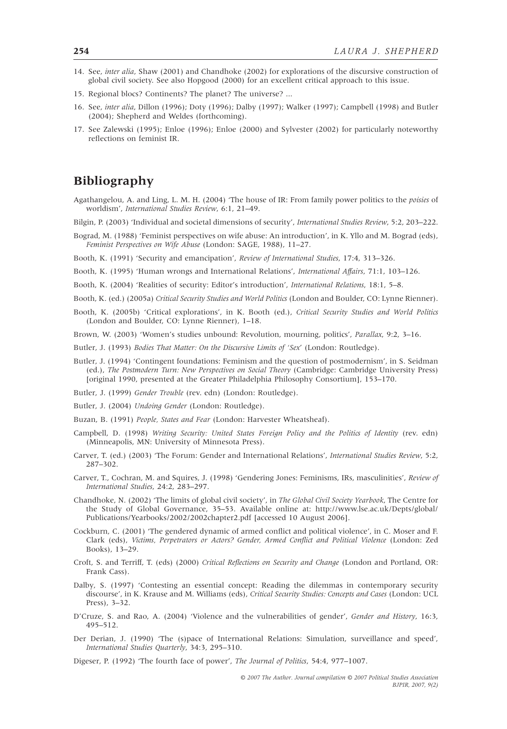- 14. See, *inter alia*, Shaw (2001) and Chandhoke (2002) for explorations of the discursive construction of global civil society. See also Hopgood (2000) for an excellent critical approach to this issue.
- 15. Regional blocs? Continents? The planet? The universe? ...
- 16. See, *inter alia*, Dillon (1996); Doty (1996); Dalby (1997); Walker (1997); Campbell (1998) and Butler (2004); Shepherd and Weldes (forthcoming).
- 17. See Zalewski (1995); Enloe (1996); Enloe (2000) and Sylvester (2002) for particularly noteworthy reflections on feminist IR.

# **Bibliography**

Agathangelou, A. and Ling, L. M. H. (2004) 'The house of IR: From family power politics to the *poisies* of worldism', *International Studies Review*, 6:1, 21–49.

Bilgin, P. (2003) 'Individual and societal dimensions of security', *International Studies Review*, 5:2, 203–222.

Bograd, M. (1988) 'Feminist perspectives on wife abuse: An introduction', in K. Yllo and M. Bograd (eds), *Feminist Perspectives on Wife Abuse* (London: SAGE, 1988), 11–27.

Booth, K. (1991) 'Security and emancipation', *Review of International Studies*, 17:4, 313–326.

Booth, K. (1995) 'Human wrongs and International Relations', *International Affairs*, 71:1, 103–126.

Booth, K. (2004) 'Realities of security: Editor's introduction', *International Relations*, 18:1, 5–8.

- Booth, K. (ed.) (2005a) *Critical Security Studies and World Politics* (London and Boulder, CO: Lynne Rienner).
- Booth, K. (2005b) 'Critical explorations', in K. Booth (ed.), *Critical Security Studies and World Politics* (London and Boulder, CO: Lynne Rienner), 1–18.

Brown, W. (2003) 'Women's studies unbound: Revolution, mourning, politics', *Parallax*, 9:2, 3–16.

- Butler, J. (1993) *Bodies That Matter: On the Discursive Limits of 'Sex*' (London: Routledge).
- Butler, J. (1994) 'Contingent foundations: Feminism and the question of postmodernism', in S. Seidman (ed.), *The Postmodern Turn: New Perspectives on Social Theory* (Cambridge: Cambridge University Press) [original 1990, presented at the Greater Philadelphia Philosophy Consortium], 153–170.
- Butler, J. (1999) *Gender Trouble* (rev. edn) (London: Routledge).
- Butler, J. (2004) *Undoing Gender* (London: Routledge).
- Buzan, B. (1991) *People, States and Fear* (London: Harvester Wheatsheaf).
- Campbell, D. (1998) *Writing Security: United States Foreign Policy and the Politics of Identity* (rev. edn) (Minneapolis, MN: University of Minnesota Press).
- Carver, T. (ed.) (2003) 'The Forum: Gender and International Relations', *International Studies Review*, 5:2, 287–302.
- Carver, T., Cochran, M. and Squires, J. (1998) 'Gendering Jones: Feminisms, IRs, masculinities', *Review of International Studies*, 24:2, 283–297.
- Chandhoke, N. (2002) 'The limits of global civil society', in *The Global Civil Society Yearbook*, The Centre for the Study of Global Governance, 35–53. Available online at: [http://www.lse.ac.uk/Depts/global/](http://www.lse.ac.uk/Depts/global) Publications/Yearbooks/2002/2002chapter2.pdf [accessed 10 August 2006].
- Cockburn, C. (2001) 'The gendered dynamic of armed conflict and political violence', in C. Moser and F. Clark (eds), *Victims, Perpetrators or Actors? Gender, Armed Conflict and Political Violence* (London: Zed Books), 13–29.
- Croft, S. and Terriff, T. (eds) (2000) *Critical Reflections on Security and Change* (London and Portland, OR: Frank Cass).
- Dalby, S. (1997) 'Contesting an essential concept: Reading the dilemmas in contemporary security discourse', in K. Krause and M. Williams (eds), *Critical Security Studies: Concepts and Cases* (London: UCL Press), 3–32.
- D'Cruze, S. and Rao, A. (2004) 'Violence and the vulnerabilities of gender', *Gender and History*, 16:3, 495–512.
- Der Derian, J. (1990) 'The (s)pace of International Relations: Simulation, surveillance and speed', *International Studies Quarterly*, 34:3, 295–310.

Digeser, P. (1992) 'The fourth face of power', *The Journal of Politics*, 54:4, 977–1007.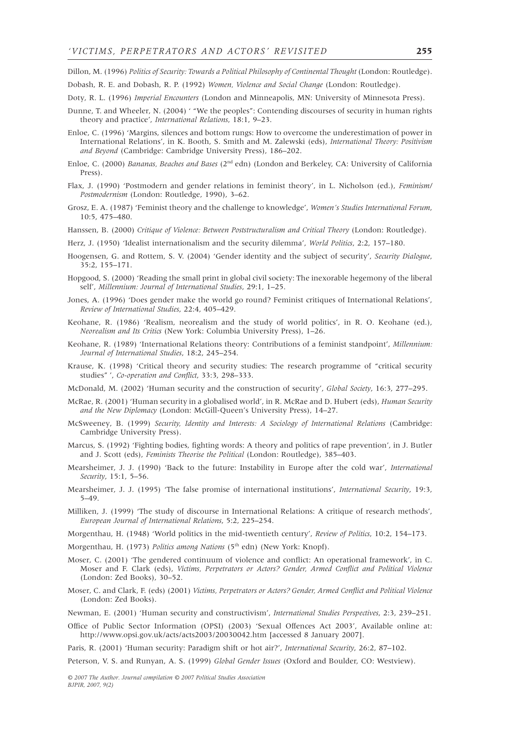Dillon, M. (1996) *Politics of Security: Towards a Political Philosophy of Continental Thought* (London: Routledge).

- Dobash, R. E. and Dobash, R. P. (1992) *Women, Violence and Social Change* (London: Routledge).
- Doty, R. L. (1996) *Imperial Encounters* (London and Minneapolis, MN: University of Minnesota Press).
- Dunne, T. and Wheeler, N. (2004) ' "We the peoples": Contending discourses of security in human rights theory and practice', *International Relations*, 18:1, 9–23.
- Enloe, C. (1996) 'Margins, silences and bottom rungs: How to overcome the underestimation of power in International Relations', in K. Booth, S. Smith and M. Zalewski (eds), *International Theory: Positivism and Beyond* (Cambridge: Cambridge University Press), 186–202.
- Enloe, C. (2000) *Bananas, Beaches and Bases* (2nd edn) (London and Berkeley, CA: University of California Press).
- Flax, J. (1990) 'Postmodern and gender relations in feminist theory', in L. Nicholson (ed.), *Feminism/ Postmodernism* (London: Routledge, 1990), 3–62.
- Grosz, E. A. (1987) 'Feminist theory and the challenge to knowledge', *Women's Studies International Forum*, 10:5, 475–480.
- Hanssen, B. (2000) *Critique of Violence: Between Poststructuralism and Critical Theory* (London: Routledge).
- Herz, J. (1950) 'Idealist internationalism and the security dilemma', *World Politics*, 2:2, 157–180.
- Hoogensen, G. and Rottem, S. V. (2004) 'Gender identity and the subject of security', *Security Dialogue*, 35:2, 155–171.
- Hopgood, S. (2000) 'Reading the small print in global civil society: The inexorable hegemony of the liberal self', *Millennium: Journal of International Studies*, 29:1, 1–25.
- Jones, A. (1996) 'Does gender make the world go round? Feminist critiques of International Relations', *Review of International Studies*, 22:4, 405–429.
- Keohane, R. (1986) 'Realism, neorealism and the study of world politics', in R. O. Keohane (ed.), *Neorealism and Its Critics* (New York: Columbia University Press), 1–26.
- Keohane, R. (1989) 'International Relations theory: Contributions of a feminist standpoint', *Millennium: Journal of International Studies*, 18:2, 245–254.
- Krause, K. (1998) 'Critical theory and security studies: The research programme of "critical security studies" ', *Co-operation and Conflict*, 33:3, 298–333.
- McDonald, M. (2002) 'Human security and the construction of security', *Global Society*, 16:3, 277–295.
- McRae, R. (2001) 'Human security in a globalised world', in R. McRae and D. Hubert (eds), *Human Security and the New Diplomacy* (London: McGill-Queen's University Press), 14–27.
- McSweeney, B. (1999) *Security, Identity and Interests: A Sociology of International Relations* (Cambridge: Cambridge University Press).
- Marcus, S. (1992) 'Fighting bodies, fighting words: A theory and politics of rape prevention', in J. Butler and J. Scott (eds), *Feminists Theorise the Political* (London: Routledge), 385–403.
- Mearsheimer, J. J. (1990) 'Back to the future: Instability in Europe after the cold war', *International Security*, 15:1, 5–56.
- Mearsheimer, J. J. (1995) 'The false promise of international institutions', *International Security*, 19:3, 5–49.
- Milliken, J. (1999) 'The study of discourse in International Relations: A critique of research methods', *European Journal of International Relations*, 5:2, 225–254.
- Morgenthau, H. (1948) 'World politics in the mid-twentieth century', *Review of Politics*, 10:2, 154–173.
- Morgenthau, H. (1973) *Politics among Nations* (5<sup>th</sup> edn) (New York: Knopf).
- Moser, C. (2001) 'The gendered continuum of violence and conflict: An operational framework', in C. Moser and F. Clark (eds), *Victims, Perpetrators or Actors? Gender, Armed Conflict and Political Violence* (London: Zed Books), 30–52.
- Moser, C. and Clark, F. (eds) (2001) *Victims, Perpetrators or Actors? Gender, Armed Conflict and Political Violence* (London: Zed Books).
- Newman, E. (2001) 'Human security and constructivism', *International Studies Perspectives*, 2:3, 239–251.
- Office of Public Sector Information (OPSI) (2003) 'Sexual Offences Act 2003', Available online at: [http://www.opsi.gov.uk/acts/acts2003/20030042.htm \[a](http://www.opsi.gov.uk/acts/acts2003/20030042.htm)ccessed 8 January 2007].
- Paris, R. (2001) 'Human security: Paradigm shift or hot air?', *International Security*, 26:2, 87–102.

Peterson, V. S. and Runyan, A. S. (1999) *Global Gender Issues* (Oxford and Boulder, CO: Westview).